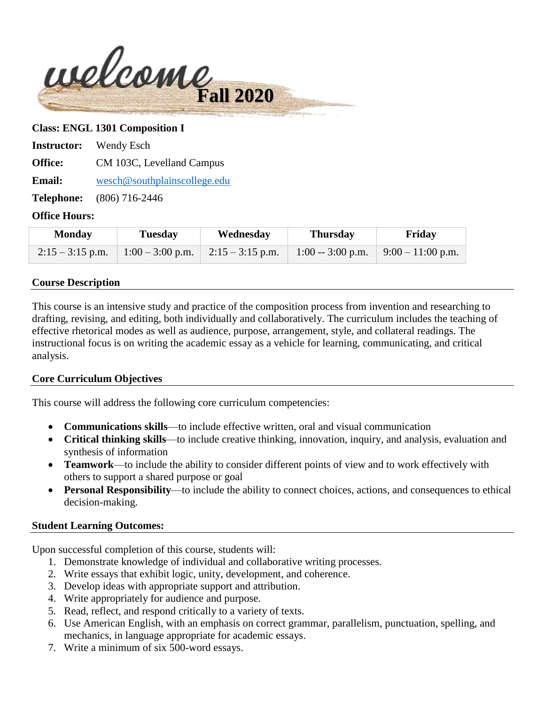

#### **Class: ENGL 1301 Composition I**

**Instructor:** Wendy Esch

**Office:** CM 103C, Levelland Campus

**Email:** [wesch@southplainscollege.edu](mailto:wesch@southplainscollege.edu)

**Telephone:** (806) 716-2446

#### **Office Hours:**

| <b>Monday</b> | <b>Tuesday</b> | Wednesday                                                | <b>Thursday</b> | Friday                                |
|---------------|----------------|----------------------------------------------------------|-----------------|---------------------------------------|
|               |                | $2:15 - 3:15$ p.m.   1:00 - 3:00 p.m.   2:15 - 3:15 p.m. |                 | 1:00 -- 3:00 p.m. $9:00 - 11:00$ p.m. |

#### **Course Description**

This course is an intensive study and practice of the composition process from invention and researching to drafting, revising, and editing, both individually and collaboratively. The curriculum includes the teaching of effective rhetorical modes as well as audience, purpose, arrangement, style, and collateral readings. The instructional focus is on writing the academic essay as a vehicle for learning, communicating, and critical analysis.

#### **Core Curriculum Objectives**

This course will address the following core curriculum competencies:

- **Communications skills**—to include effective written, oral and visual communication
- **Critical thinking skills**—to include creative thinking, innovation, inquiry, and analysis, evaluation and synthesis of information
- **Teamwork**—to include the ability to consider different points of view and to work effectively with others to support a shared purpose or goal
- **Personal Responsibility**—to include the ability to connect choices, actions, and consequences to ethical decision-making.

#### **Student Learning Outcomes:**

Upon successful completion of this course, students will:

- 1. Demonstrate knowledge of individual and collaborative writing processes.
- 2. Write essays that exhibit logic, unity, development, and coherence.
- 3. Develop ideas with appropriate support and attribution.
- 4. Write appropriately for audience and purpose.
- 5. Read, reflect, and respond critically to a variety of texts.
- 6. Use American English, with an emphasis on correct grammar, parallelism, punctuation, spelling, and mechanics, in language appropriate for academic essays.
- 7. Write a minimum of six 500-word essays.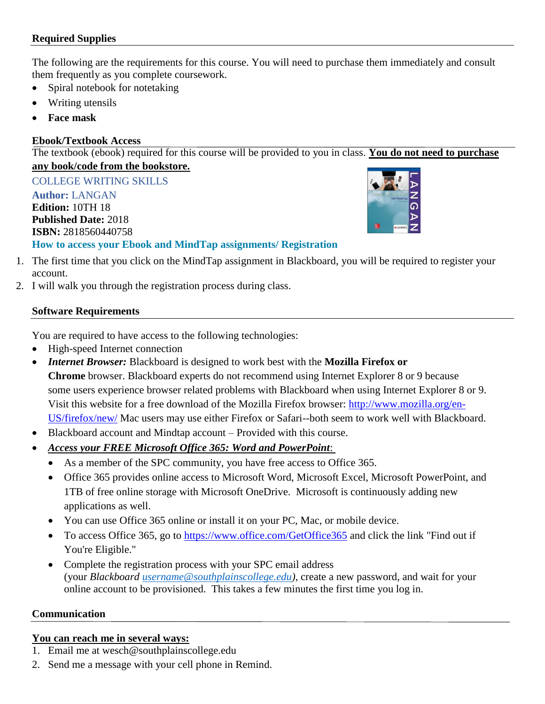## **Required Supplies**

The following are the requirements for this course. You will need to purchase them immediately and consult them frequently as you complete coursework.

- Spiral notebook for notetaking
- Writing utensils
- **Face mask**

## **Ebook/Textbook Access**

The textbook (ebook) required for this course will be provided to you in class. **You do not need to purchase** 

# **any book/code from the bookstore.**

COLLEGE WRITING SKILLS

## **Author:** LANGAN **Edition:** 10TH 18 **Published Date:** 2018 **ISBN:** 2818560440758



# **How to access your Ebook and MindTap assignments/ Registration**

- 1. The first time that you click on the MindTap assignment in Blackboard, you will be required to register your account.
- 2. I will walk you through the registration process during class.

# **Software Requirements**

You are required to have access to the following technologies:

- High-speed Internet connection
- *Internet Browser:* Blackboard is designed to work best with the **Mozilla Firefox or Chrome** browser. Blackboard experts do not recommend using Internet Explorer 8 or 9 because some users experience browser related problems with Blackboard when using Internet Explorer 8 or 9. Visit this website for a free download of the Mozilla Firefox browser: [http://www.mozilla.org/en-](http://www.mozilla.org/en-US/firefox/new/)[US/firefox/new/](http://www.mozilla.org/en-US/firefox/new/) Mac users may use either Firefox or Safari--both seem to work well with Blackboard.
- Blackboard account and Mindtap account Provided with this course.
- *Access your FREE Microsoft Office 365: Word and PowerPoint*:
	- As a member of the SPC community, you have free access to Office 365.
	- Office 365 provides online access to Microsoft Word, Microsoft Excel, Microsoft PowerPoint, and 1TB of free online storage with Microsoft OneDrive. Microsoft is continuously adding new applications as well.
	- You can use Office 365 online or install it on your PC, Mac, or mobile device.
	- To access Office 365, go to <https://www.office.com/GetOffice365> and click the link "Find out if You're Eligible."
	- Complete the registration process with your SPC email address (your *Blackboard [username@southplainscollege.edu\)](mailto:username@southplainscollege.edu)*, create a new password, and wait for your online account to be provisioned. This takes a few minutes the first time you log in.

## **Communication**

## **You can reach me in several ways:**

- 1. Email me at wesch@southplainscollege.edu
- 2. Send me a message with your cell phone in Remind.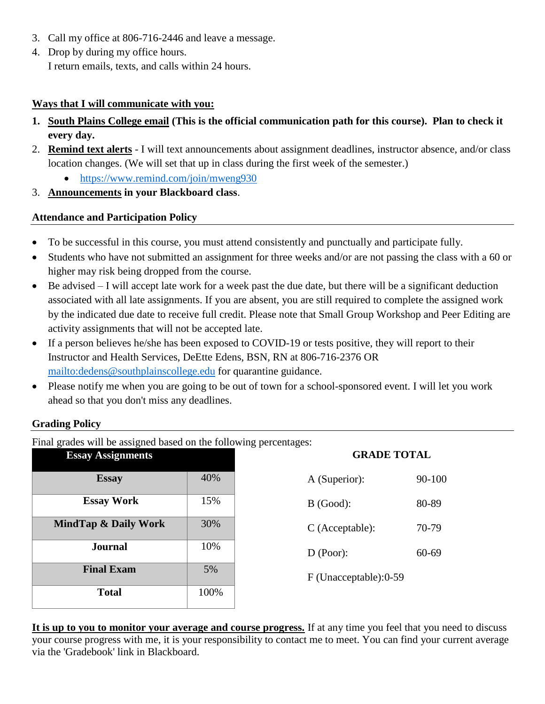- 3. Call my office at 806-716-2446 and leave a message.
- 4. Drop by during my office hours. I return emails, texts, and calls within 24 hours.

## **Ways that I will communicate with you:**

- **1. South Plains College email (This is the official communication path for this course). Plan to check it every day.**
- 2. **Remind text alerts** I will text announcements about assignment deadlines, instructor absence, and/or class location changes. (We will set that up in class during the first week of the semester.)
	- <https://www.remind.com/join/mweng930>
- 3. **Announcements in your Blackboard class**.

# **Attendance and Participation Policy**

- To be successful in this course, you must attend consistently and punctually and participate fully.
- Students who have not submitted an assignment for three weeks and/or are not passing the class with a 60 or higher may risk being dropped from the course.
- Be advised I will accept late work for a week past the due date, but there will be a significant deduction associated with all late assignments. If you are absent, you are still required to complete the assigned work by the indicated due date to receive full credit. Please note that Small Group Workshop and Peer Editing are activity assignments that will not be accepted late.
- If a person believes he/she has been exposed to COVID-19 or tests positive, they will report to their Instructor and Health Services, DeEtte Edens, BSN, RN at 806-716-2376 OR <mailto:dedens@southplainscollege.edu> for quarantine guidance.
- Please notify me when you are going to be out of town for a school-sponsored event. I will let you work ahead so that you don't miss any deadlines.

## **Grading Policy**

Final grades will be assigned based on the following percentages:

| <b>Essay Assignments</b>        |      | <b>GRADE TOTAL</b>     |           |
|---------------------------------|------|------------------------|-----------|
| <b>Essay</b>                    | 40%  | A (Superior):          | 90-100    |
| <b>Essay Work</b>               | 15%  | $B$ (Good):            | 80-89     |
| <b>MindTap &amp; Daily Work</b> | 30%  | $C$ (Acceptable):      | 70-79     |
| <b>Journal</b>                  | 10%  | D (Poor):              | $60 - 69$ |
| <b>Final Exam</b>               | 5%   | F (Unacceptable): 0-59 |           |
| <b>Total</b>                    | 100% |                        |           |

**It is up to you to monitor your average and course progress.** If at any time you feel that you need to discuss your course progress with me, it is your responsibility to contact me to meet. You can find your current average via the 'Gradebook' link in Blackboard.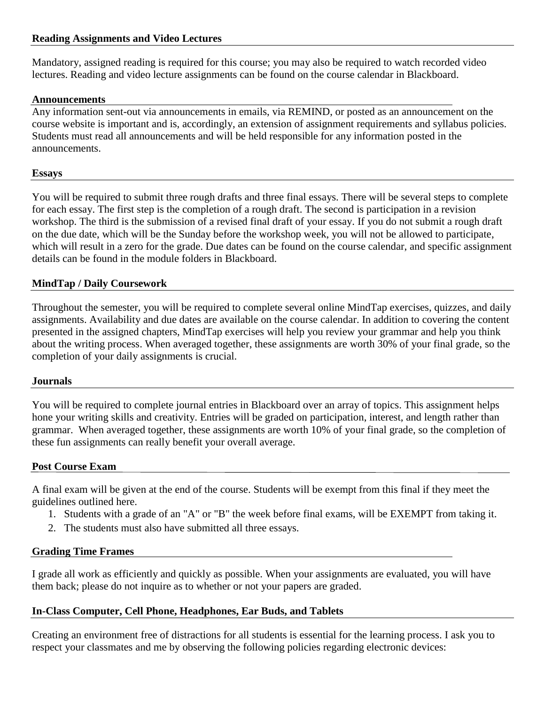#### **Reading Assignments and Video Lectures**

Mandatory, assigned reading is required for this course; you may also be required to watch recorded video lectures. Reading and video lecture assignments can be found on the course calendar in Blackboard.

#### **Announcements**

Any information sent-out via announcements in emails, via REMIND, or posted as an announcement on the course website is important and is, accordingly, an extension of assignment requirements and syllabus policies. Students must read all announcements and will be held responsible for any information posted in the announcements.

#### **Essays**

You will be required to submit three rough drafts and three final essays. There will be several steps to complete for each essay. The first step is the completion of a rough draft. The second is participation in a revision workshop. The third is the submission of a revised final draft of your essay. If you do not submit a rough draft on the due date, which will be the Sunday before the workshop week, you will not be allowed to participate, which will result in a zero for the grade. Due dates can be found on the course calendar, and specific assignment details can be found in the module folders in Blackboard.

#### **MindTap / Daily Coursework**

Throughout the semester, you will be required to complete several online MindTap exercises, quizzes, and daily assignments. Availability and due dates are available on the course calendar. In addition to covering the content presented in the assigned chapters, MindTap exercises will help you review your grammar and help you think about the writing process. When averaged together, these assignments are worth 30% of your final grade, so the completion of your daily assignments is crucial.

#### **Journals**

You will be required to complete journal entries in Blackboard over an array of topics. This assignment helps hone your writing skills and creativity. Entries will be graded on participation, interest, and length rather than grammar. When averaged together, these assignments are worth 10% of your final grade, so the completion of these fun assignments can really benefit your overall average.

#### **Post Course Exam**

A final exam will be given at the end of the course. Students will be exempt from this final if they meet the guidelines outlined here.

- 1. Students with a grade of an "A" or "B" the week before final exams, will be EXEMPT from taking it.
- 2. The students must also have submitted all three essays.

#### **Grading Time Frames**

I grade all work as efficiently and quickly as possible. When your assignments are evaluated, you will have them back; please do not inquire as to whether or not your papers are graded.

## **In-Class Computer, Cell Phone, Headphones, Ear Buds, and Tablets**

Creating an environment free of distractions for all students is essential for the learning process. I ask you to respect your classmates and me by observing the following policies regarding electronic devices: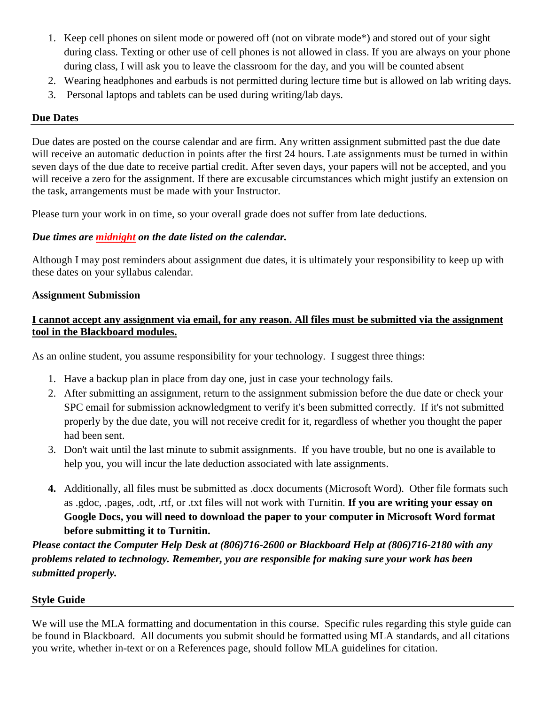- 1. Keep cell phones on silent mode or powered off (not on vibrate mode\*) and stored out of your sight during class. Texting or other use of cell phones is not allowed in class. If you are always on your phone during class, I will ask you to leave the classroom for the day, and you will be counted absent
- 2. Wearing headphones and earbuds is not permitted during lecture time but is allowed on lab writing days.
- 3. Personal laptops and tablets can be used during writing/lab days.

#### **Due Dates**

Due dates are posted on the course calendar and are firm. Any written assignment submitted past the due date will receive an automatic deduction in points after the first 24 hours. Late assignments must be turned in within seven days of the due date to receive partial credit. After seven days, your papers will not be accepted, and you will receive a zero for the assignment. If there are excusable circumstances which might justify an extension on the task, arrangements must be made with your Instructor.

Please turn your work in on time, so your overall grade does not suffer from late deductions.

## *Due times are midnight on the date listed on the calendar.*

Although I may post reminders about assignment due dates, it is ultimately your responsibility to keep up with these dates on your syllabus calendar.

#### **Assignment Submission**

## **I cannot accept any assignment via email, for any reason. All files must be submitted via the assignment tool in the Blackboard modules.**

As an online student, you assume responsibility for your technology. I suggest three things:

- 1. Have a backup plan in place from day one, just in case your technology fails.
- 2. After submitting an assignment, return to the assignment submission before the due date or check your SPC email for submission acknowledgment to verify it's been submitted correctly. If it's not submitted properly by the due date, you will not receive credit for it, regardless of whether you thought the paper had been sent.
- 3. Don't wait until the last minute to submit assignments. If you have trouble, but no one is available to help you, you will incur the late deduction associated with late assignments.
- **4.** Additionally, all files must be submitted as .docx documents (Microsoft Word). Other file formats such as .gdoc, .pages, .odt, .rtf, or .txt files will not work with Turnitin. **If you are writing your essay on Google Docs, you will need to download the paper to your computer in Microsoft Word format before submitting it to Turnitin.**

*Please contact the Computer Help Desk at (806)716-2600 or Blackboard Help at (806)716-2180 with any problems related to technology. Remember, you are responsible for making sure your work has been submitted properly.*

## **Style Guide**

We will use the MLA formatting and documentation in this course. Specific rules regarding this style guide can be found in Blackboard. All documents you submit should be formatted using MLA standards, and all citations you write, whether in-text or on a References page, should follow MLA guidelines for citation.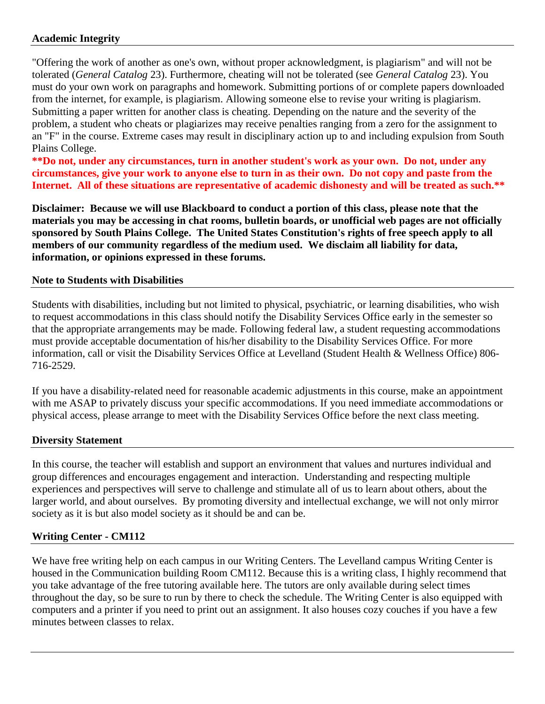## **Academic Integrity**

"Offering the work of another as one's own, without proper acknowledgment, is plagiarism" and will not be tolerated (*General Catalog* 23). Furthermore, cheating will not be tolerated (see *General Catalog* 23). You must do your own work on paragraphs and homework. Submitting portions of or complete papers downloaded from the internet, for example, is plagiarism. Allowing someone else to revise your writing is plagiarism. Submitting a paper written for another class is cheating. Depending on the nature and the severity of the problem, a student who cheats or plagiarizes may receive penalties ranging from a zero for the assignment to an "F" in the course. Extreme cases may result in disciplinary action up to and including expulsion from South Plains College.

**\*\*Do not, under any circumstances, turn in another student's work as your own. Do not, under any circumstances, give your work to anyone else to turn in as their own. Do not copy and paste from the Internet. All of these situations are representative of academic dishonesty and will be treated as such.\*\***

**Disclaimer: Because we will use Blackboard to conduct a portion of this class, please note that the materials you may be accessing in chat rooms, bulletin boards, or unofficial web pages are not officially sponsored by South Plains College. The United States Constitution's rights of free speech apply to all members of our community regardless of the medium used. We disclaim all liability for data, information, or opinions expressed in these forums.**

#### **Note to Students with Disabilities**

Students with disabilities, including but not limited to physical, psychiatric, or learning disabilities, who wish to request accommodations in this class should notify the Disability Services Office early in the semester so that the appropriate arrangements may be made. Following federal law, a student requesting accommodations must provide acceptable documentation of his/her disability to the Disability Services Office. For more information, call or visit the Disability Services Office at Levelland (Student Health & Wellness Office) 806- 716-2529.

If you have a disability-related need for reasonable academic adjustments in this course, make an appointment with me ASAP to privately discuss your specific accommodations. If you need immediate accommodations or physical access, please arrange to meet with the Disability Services Office before the next class meeting.

## **Diversity Statement**

In this course, the teacher will establish and support an environment that values and nurtures individual and group differences and encourages engagement and interaction. Understanding and respecting multiple experiences and perspectives will serve to challenge and stimulate all of us to learn about others, about the larger world, and about ourselves. By promoting diversity and intellectual exchange, we will not only mirror society as it is but also model society as it should be and can be.

## **Writing Center - CM112**

We have free writing help on each campus in our Writing Centers. The Levelland campus Writing Center is housed in the Communication building Room CM112. Because this is a writing class, I highly recommend that you take advantage of the free tutoring available here. The tutors are only available during select times throughout the day, so be sure to run by there to check the schedule. The Writing Center is also equipped with computers and a printer if you need to print out an assignment. It also houses cozy couches if you have a few minutes between classes to relax.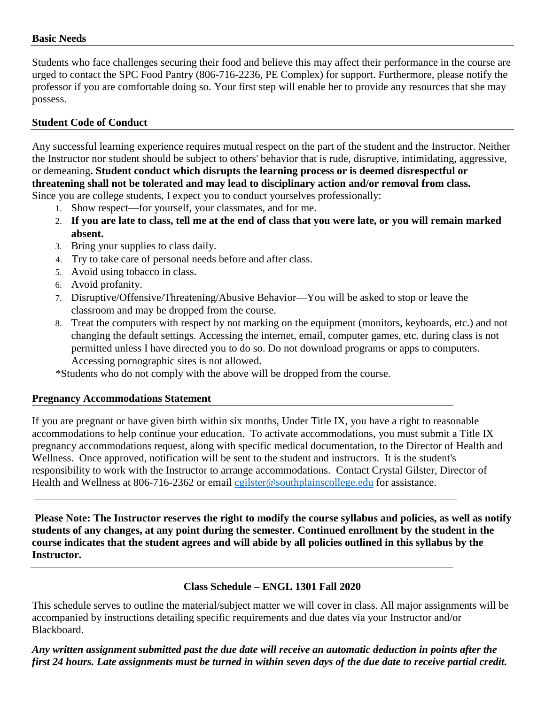#### **Basic Needs**

Students who face challenges securing their food and believe this may affect their performance in the course are urged to contact the SPC Food Pantry (806-716-2236, PE Complex) for support. Furthermore, please notify the professor if you are comfortable doing so. Your first step will enable her to provide any resources that she may possess.

## **Student Code of Conduct**

Any successful learning experience requires mutual respect on the part of the student and the Instructor. Neither the Instructor nor student should be subject to others' behavior that is rude, disruptive, intimidating, aggressive, or demeaning**. Student conduct which disrupts the learning process or is deemed disrespectful or threatening shall not be tolerated and may lead to disciplinary action and/or removal from class.** Since you are college students, I expect you to conduct yourselves professionally:

- 1. Show respect—for yourself, your classmates, and for me.
- 2. **If you are late to class, tell me at the end of class that you were late, or you will remain marked absent.**
- 3. Bring your supplies to class daily.
- 4. Try to take care of personal needs before and after class.
- 5. Avoid using tobacco in class.
- 6. Avoid profanity.
- 7. Disruptive/Offensive/Threatening/Abusive Behavior—You will be asked to stop or leave the classroom and may be dropped from the course.
- 8. Treat the computers with respect by not marking on the equipment (monitors, keyboards, etc.) and not changing the default settings. Accessing the internet, email, computer games, etc. during class is not permitted unless I have directed you to do so. Do not download programs or apps to computers. Accessing pornographic sites is not allowed.

\*Students who do not comply with the above will be dropped from the course.

## **Pregnancy Accommodations Statement**

If you are pregnant or have given birth within six months, Under Title IX, you have a right to reasonable accommodations to help continue your education. To activate accommodations, you must submit a Title IX pregnancy accommodations request, along with specific medical documentation, to the Director of Health and Wellness. Once approved, notification will be sent to the student and instructors. It is the student's responsibility to work with the Instructor to arrange accommodations. Contact Crystal Gilster, Director of Health and Wellness at 806-716-2362 or email [cgilster@southplainscollege.edu](mailto:cgilster@southplainscollege.edu) for assistance.

**Please Note: The Instructor reserves the right to modify the course syllabus and policies, as well as notify students of any changes, at any point during the semester. Continued enrollment by the student in the course indicates that the student agrees and will abide by all policies outlined in this syllabus by the Instructor.**

## **Class Schedule – ENGL 1301 Fall 2020**

This schedule serves to outline the material/subject matter we will cover in class. All major assignments will be accompanied by instructions detailing specific requirements and due dates via your Instructor and/or Blackboard.

*Any written assignment submitted past the due date will receive an automatic deduction in points after the first 24 hours. Late assignments must be turned in within seven days of the due date to receive partial credit.*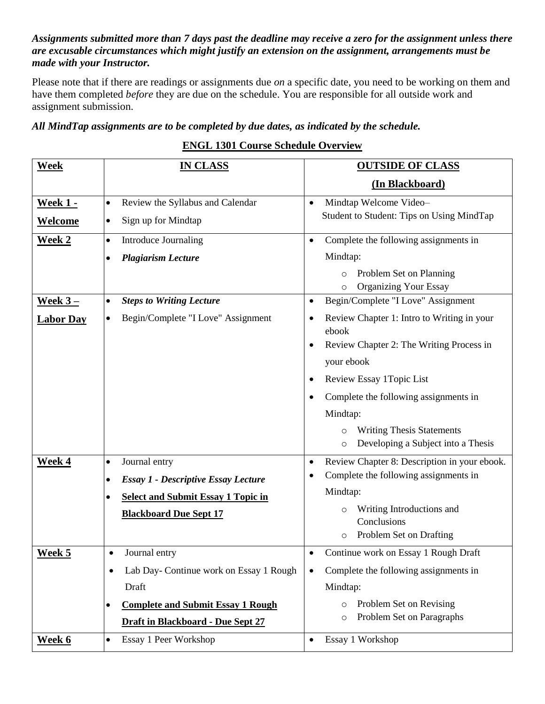## *Assignments submitted more than 7 days past the deadline may receive a zero for the assignment unless there are excusable circumstances which might justify an extension on the assignment, arrangements must be made with your Instructor.*

Please note that if there are readings or assignments due *on* a specific date, you need to be working on them and have them completed *before* they are due on the schedule. You are responsible for all outside work and assignment submission.

## *All MindTap assignments are to be completed by due dates, as indicated by the schedule.*

# **ENGL 1301 Course Schedule Overview**

| <b>Week</b>      | <b>IN CLASS</b>                                         | <b>OUTSIDE OF CLASS</b>                                                       |
|------------------|---------------------------------------------------------|-------------------------------------------------------------------------------|
|                  |                                                         | (In Blackboard)                                                               |
| <u>Week 1 -</u>  | Review the Syllabus and Calendar<br>$\bullet$           | Mindtap Welcome Video-<br>$\bullet$                                           |
| <b>Welcome</b>   | Sign up for Mindtap<br>$\bullet$                        | Student to Student: Tips on Using MindTap                                     |
| <b>Week 2</b>    | <b>Introduce Journaling</b><br>$\bullet$                | Complete the following assignments in<br>$\bullet$                            |
|                  | <b>Plagiarism Lecture</b><br>$\bullet$                  | Mindtap:                                                                      |
|                  |                                                         | Problem Set on Planning<br>$\circ$<br><b>Organizing Your Essay</b><br>$\circ$ |
| <u>Week 3-</u>   | <b>Steps to Writing Lecture</b><br>$\bullet$            | Begin/Complete "I Love" Assignment<br>$\bullet$                               |
| <b>Labor Day</b> | Begin/Complete "I Love" Assignment<br>$\bullet$         | Review Chapter 1: Intro to Writing in your<br>$\bullet$<br>ebook              |
|                  |                                                         | Review Chapter 2: The Writing Process in<br>$\bullet$                         |
|                  |                                                         | your ebook                                                                    |
|                  |                                                         | Review Essay 1Topic List<br>$\bullet$                                         |
|                  |                                                         | Complete the following assignments in<br>$\bullet$                            |
|                  |                                                         | Mindtap:                                                                      |
|                  |                                                         | <b>Writing Thesis Statements</b><br>$\circ$                                   |
|                  |                                                         | Developing a Subject into a Thesis<br>$\circ$                                 |
| <b>Week 4</b>    | Journal entry<br>$\bullet$                              | Review Chapter 8: Description in your ebook.<br>$\bullet$                     |
|                  | <b>Essay 1 - Descriptive Essay Lecture</b><br>$\bullet$ | Complete the following assignments in<br>$\bullet$<br>Mindtap:                |
|                  | <b>Select and Submit Essay 1 Topic in</b><br>$\bullet$  |                                                                               |
|                  | <b>Blackboard Due Sept 17</b>                           | Writing Introductions and<br>$\circ$<br>Conclusions                           |
|                  |                                                         | Problem Set on Drafting<br>$\circ$                                            |
| Week 5           | Journal entry<br>$\bullet$                              | Continue work on Essay 1 Rough Draft<br>٠                                     |
|                  | Lab Day- Continue work on Essay 1 Rough<br>$\bullet$    | Complete the following assignments in<br>$\bullet$                            |
|                  | Draft                                                   | Mindtap:                                                                      |
|                  | <b>Complete and Submit Essay 1 Rough</b><br>٠           | Problem Set on Revising<br>$\circ$                                            |
|                  | Draft in Blackboard - Due Sept 27                       | Problem Set on Paragraphs<br>$\circ$                                          |
| <u>Week 6</u>    | Essay 1 Peer Workshop<br>$\bullet$                      | Essay 1 Workshop<br>$\bullet$                                                 |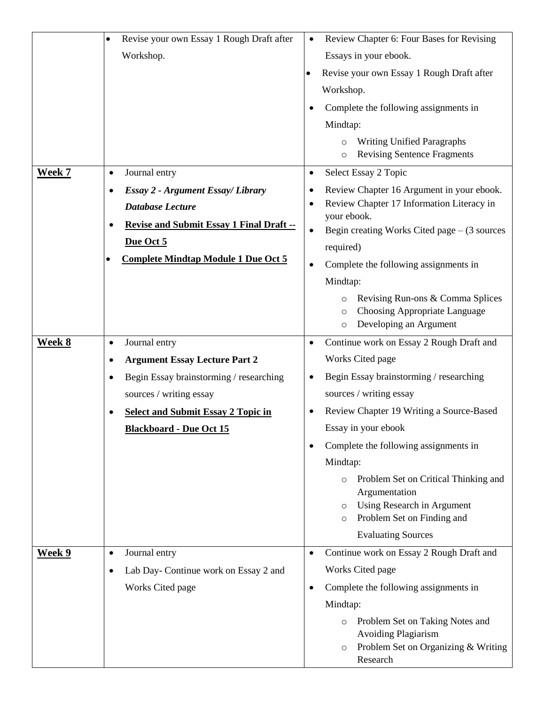|               | Revise your own Essay 1 Rough Draft after<br>$\bullet$       | Review Chapter 6: Four Bases for Revising                                                                                              |
|---------------|--------------------------------------------------------------|----------------------------------------------------------------------------------------------------------------------------------------|
|               | Workshop.                                                    | Essays in your ebook.                                                                                                                  |
|               |                                                              | Revise your own Essay 1 Rough Draft after                                                                                              |
|               |                                                              | Workshop.                                                                                                                              |
|               |                                                              | Complete the following assignments in                                                                                                  |
|               |                                                              | Mindtap:                                                                                                                               |
|               |                                                              | <b>Writing Unified Paragraphs</b><br>$\circ$<br><b>Revising Sentence Fragments</b><br>$\circ$                                          |
| <b>Week 7</b> | Journal entry<br>$\bullet$                                   | Select Essay 2 Topic<br>$\bullet$                                                                                                      |
|               | <b>Essay 2 - Argument Essay/ Library</b><br>$\bullet$        | Review Chapter 16 Argument in your ebook.<br>$\bullet$                                                                                 |
|               | <b>Database Lecture</b>                                      | Review Chapter 17 Information Literacy in<br>$\bullet$<br>your ebook.                                                                  |
|               | <b>Revise and Submit Essay 1 Final Draft --</b><br>$\bullet$ | Begin creating Works Cited page $-$ (3 sources<br>$\bullet$                                                                            |
|               | Due Oct 5                                                    | required)                                                                                                                              |
|               | <b>Complete Mindtap Module 1 Due Oct 5</b>                   | Complete the following assignments in<br>$\bullet$                                                                                     |
|               |                                                              | Mindtap:                                                                                                                               |
|               |                                                              | Revising Run-ons & Comma Splices<br>$\circ$<br>Choosing Appropriate Language<br>O<br>Developing an Argument<br>$\circ$                 |
| Week 8        | Journal entry<br>$\bullet$                                   | Continue work on Essay 2 Rough Draft and<br>$\bullet$                                                                                  |
|               | <b>Argument Essay Lecture Part 2</b><br>$\bullet$            | Works Cited page                                                                                                                       |
|               | Begin Essay brainstorming / researching<br>$\bullet$         | Begin Essay brainstorming / researching<br>$\bullet$                                                                                   |
|               | sources / writing essay                                      | sources / writing essay                                                                                                                |
|               | <b>Select and Submit Essay 2 Topic in</b>                    | Review Chapter 19 Writing a Source-Based                                                                                               |
|               | <b>Blackboard - Due Oct 15</b>                               | Essay in your ebook                                                                                                                    |
|               |                                                              | Complete the following assignments in<br>$\bullet$                                                                                     |
|               |                                                              | Mindtap:                                                                                                                               |
|               |                                                              | Problem Set on Critical Thinking and<br>$\circ$                                                                                        |
|               |                                                              | Argumentation<br>Using Research in Argument<br>$\circ$                                                                                 |
|               |                                                              | Problem Set on Finding and<br>$\circ$                                                                                                  |
|               |                                                              | <b>Evaluating Sources</b>                                                                                                              |
| Week 9        | Journal entry<br>$\bullet$                                   | Continue work on Essay 2 Rough Draft and<br>$\bullet$                                                                                  |
|               | Lab Day- Continue work on Essay 2 and<br>$\bullet$           | Works Cited page                                                                                                                       |
|               | Works Cited page                                             | Complete the following assignments in<br>$\bullet$                                                                                     |
|               |                                                              | Mindtap:                                                                                                                               |
|               |                                                              | Problem Set on Taking Notes and<br>$\circ$<br><b>Avoiding Plagiarism</b><br>Problem Set on Organizing & Writing<br>$\circ$<br>Research |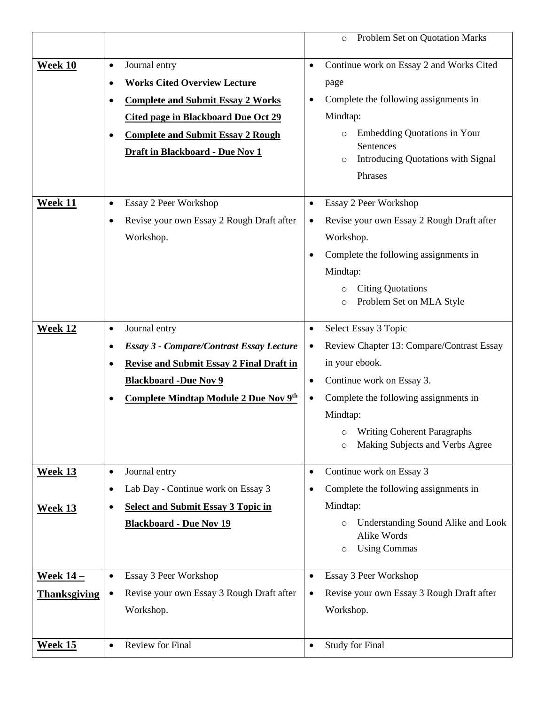|                     |                                                              | Problem Set on Quotation Marks<br>$\circ$                   |
|---------------------|--------------------------------------------------------------|-------------------------------------------------------------|
|                     | Journal entry                                                | $\bullet$                                                   |
| <b>Week 10</b>      | ٠                                                            | Continue work on Essay 2 and Works Cited                    |
|                     | <b>Works Cited Overview Lecture</b><br>$\bullet$             | page                                                        |
|                     | <b>Complete and Submit Essay 2 Works</b><br>$\bullet$        | Complete the following assignments in<br>$\bullet$          |
|                     | <b>Cited page in Blackboard Due Oct 29</b>                   | Mindtap:                                                    |
|                     | <b>Complete and Submit Essay 2 Rough</b><br>$\bullet$        | <b>Embedding Quotations in Your</b><br>$\circ$<br>Sentences |
|                     | Draft in Blackboard - Due Nov 1                              | Introducing Quotations with Signal<br>$\circ$               |
|                     |                                                              | Phrases                                                     |
|                     |                                                              |                                                             |
| Week 11             | Essay 2 Peer Workshop<br>$\bullet$                           | Essay 2 Peer Workshop<br>$\bullet$                          |
|                     | Revise your own Essay 2 Rough Draft after<br>$\bullet$       | Revise your own Essay 2 Rough Draft after<br>$\bullet$      |
|                     | Workshop.                                                    | Workshop.                                                   |
|                     |                                                              | Complete the following assignments in<br>$\bullet$          |
|                     |                                                              | Mindtap:                                                    |
|                     |                                                              | <b>Citing Quotations</b><br>$\circ$                         |
|                     |                                                              | Problem Set on MLA Style<br>$\circ$                         |
| Week 12             | Journal entry<br>$\bullet$                                   | Select Essay 3 Topic<br>$\bullet$                           |
|                     | <b>Essay 3 - Compare/Contrast Essay Lecture</b><br>$\bullet$ | Review Chapter 13: Compare/Contrast Essay<br>$\bullet$      |
|                     | <b>Revise and Submit Essay 2 Final Draft in</b><br>٠         | in your ebook.                                              |
|                     | <b>Blackboard -Due Nov 9</b>                                 | Continue work on Essay 3.<br>$\bullet$                      |
|                     | Complete Mindtap Module 2 Due Nov 9th<br>٠                   | Complete the following assignments in<br>$\bullet$          |
|                     |                                                              | Mindtap:                                                    |
|                     |                                                              | <b>Writing Coherent Paragraphs</b>                          |
|                     |                                                              | O<br>Making Subjects and Verbs Agree<br>$\circ$             |
|                     |                                                              |                                                             |
| <b>Week 13</b>      | Journal entry<br>$\bullet$                                   | Continue work on Essay 3<br>$\bullet$                       |
|                     | Lab Day - Continue work on Essay 3<br>٠                      | Complete the following assignments in<br>$\bullet$          |
| <b>Week 13</b>      | <b>Select and Submit Essay 3 Topic in</b><br>٠               | Mindtap:                                                    |
|                     | <b>Blackboard - Due Nov 19</b>                               | Understanding Sound Alike and Look<br>$\circ$               |
|                     |                                                              | Alike Words<br><b>Using Commas</b><br>$\circ$               |
|                     |                                                              |                                                             |
| <u>Week 14 – </u>   | Essay 3 Peer Workshop<br>$\bullet$                           | Essay 3 Peer Workshop<br>$\bullet$                          |
| <b>Thanksgiving</b> | Revise your own Essay 3 Rough Draft after<br>$\bullet$       | Revise your own Essay 3 Rough Draft after<br>$\bullet$      |
|                     | Workshop.                                                    | Workshop.                                                   |
|                     |                                                              |                                                             |
| <b>Week 15</b>      | <b>Review for Final</b><br>$\bullet$                         | <b>Study for Final</b><br>$\bullet$                         |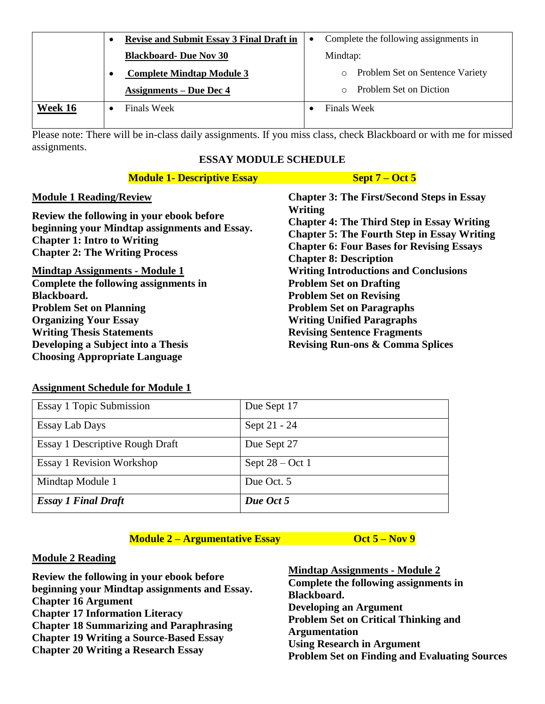|         | <b>Revise and Submit Essay 3 Final Draft in</b> | ٠ | Complete the following assignments in      |
|---------|-------------------------------------------------|---|--------------------------------------------|
|         | <b>Blackboard- Due Nov 30</b>                   |   | Mindtap:                                   |
|         | <b>Complete Mindtap Module 3</b>                |   | Problem Set on Sentence Variety<br>$\circ$ |
|         | <b>Assignments – Due Dec 4</b>                  |   | Problem Set on Diction                     |
| Week 16 | <b>Finals Week</b>                              |   | <b>Finals Week</b>                         |
|         |                                                 |   |                                            |

Please note: There will be in-class daily assignments. If you miss class, check Blackboard or with me for missed assignments.

## **ESSAY MODULE SCHEDULE**

| <b>Module 1- Descriptive Essay</b>                                                                                                                                        | Sept $7 - Oct 5$                                                                                                                                                                                        |  |
|---------------------------------------------------------------------------------------------------------------------------------------------------------------------------|---------------------------------------------------------------------------------------------------------------------------------------------------------------------------------------------------------|--|
| <b>Module 1 Reading/Review</b>                                                                                                                                            | <b>Chapter 3: The First/Second Steps in Essay</b>                                                                                                                                                       |  |
| Review the following in your ebook before<br>beginning your Mindtap assignments and Essay.<br><b>Chapter 1: Intro to Writing</b><br><b>Chapter 2: The Writing Process</b> | Writing<br><b>Chapter 4: The Third Step in Essay Writing</b><br><b>Chapter 5: The Fourth Step in Essay Writing</b><br><b>Chapter 6: Four Bases for Revising Essays</b><br><b>Chapter 8: Description</b> |  |
| <b>Mindtap Assignments - Module 1</b>                                                                                                                                     | <b>Writing Introductions and Conclusions</b>                                                                                                                                                            |  |
| Complete the following assignments in                                                                                                                                     | <b>Problem Set on Drafting</b>                                                                                                                                                                          |  |
| Blackboard.                                                                                                                                                               | <b>Problem Set on Revising</b>                                                                                                                                                                          |  |
| <b>Problem Set on Planning</b>                                                                                                                                            | <b>Problem Set on Paragraphs</b>                                                                                                                                                                        |  |
| <b>Organizing Your Essay</b>                                                                                                                                              | <b>Writing Unified Paragraphs</b>                                                                                                                                                                       |  |
| <b>Writing Thesis Statements</b>                                                                                                                                          | <b>Revising Sentence Fragments</b>                                                                                                                                                                      |  |
| Developing a Subject into a Thesis                                                                                                                                        | <b>Revising Run-ons &amp; Comma Splices</b>                                                                                                                                                             |  |
| <b>Choosing Appropriate Language</b>                                                                                                                                      |                                                                                                                                                                                                         |  |

#### **Assignment Schedule for Module 1**

| <b>Essay 1 Topic Submission</b>  | Due Sept 17       |
|----------------------------------|-------------------|
| <b>Essay Lab Days</b>            | Sept 21 - 24      |
| Essay 1 Descriptive Rough Draft  | Due Sept 27       |
| <b>Essay 1 Revision Workshop</b> | Sept $28 - Oct 1$ |
| Mindtap Module 1                 | Due Oct. 5        |
| <b>Essay 1 Final Draft</b>       | Due Oct 5         |

## **Module 2 – Argumentative Essay by Concrete Construction Construction Oct 5 – Nov 9**

## **Module 2 Reading**

**Review the following in your ebook before beginning your Mindtap assignments and Essay. Chapter 16 Argument Chapter 17 Information Literacy Chapter 18 Summarizing and Paraphrasing Chapter 19 Writing a Source-Based Essay Chapter 20 Writing a Research Essay**

**Mindtap Assignments - Module 2 Complete the following assignments in Blackboard. Developing an Argument Problem Set on Critical Thinking and Argumentation Using Research in Argument Problem Set on Finding and Evaluating Sources**